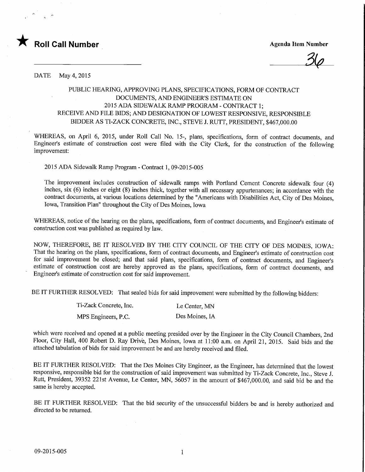

 $\frac{3}{2}$ 

DATE May 4,2015

## PUBLIC HEARING, APPROVING PLANS, SPECIFICATIONS, FORM OF CONTRACT DOCUMENTS, AND ENGINEER'S ESTIMATE ON 2015 ADA SIDEWALK RAMP PROGRAM - CONTRACT 1; RECEIVE AND FILE BIDS; AND DESIGNATION OF LOWEST RESPONSIVE, RESPONSIBLE BIDDER AS TI-ZACK CONCRETE, INC, STEVE J. RUTT, PRESIDENT, \$467,000.00

WHEREAS, on April 6, 2015, under Roll Call No. 15-, plans, specifications, form of contract documents, and Engineer's estimate of construction cost were filed with the City Clerk, for the construction of the following improvement:

2015 ADA Sidewalk Ramp Program - Contract 1, 09-2015-005

The improvement includes construction of sidewalk ramps with Portland Cement Concrete sidewalk four (4) inches, six (6) inches or eight (8) inches thick, together with all necessary appurtenances; in accordance with the contract documents, at various locations determined by the "Americans with Disabilities Act, City of Des Moines, Iowa, Transition Plan" throughout the City of Des Moines, Iowa

WHEREAS, notice of the hearing on the plans, specifications, form of contract documents, and Engineer's estimate of construction cost was published as required by law.

NOW, THEREFORE, BE IT RESOLVED BY THE CITY COUNCIL OF THE CITY OF DES MOINES, IOWA: That the hearing on the plans, specifications, form of contract documents, and Engineer's estimate of construction cost for said improvement be closed; and that said plans, specifications, form of contract documents, and Engineer's estimate of construction cost are hereby approved as the plans, specifications, form of contract documents, and Engineer's estimate of construction cost for said improvement.

BE IT FURTHER RESOLVED: That sealed bids for said improvement were submitted by the following bidders:

| Ti-Zack Concrete, Inc. | Le Center, MN  |
|------------------------|----------------|
| MPS Engineers, P.C.    | Des Moines, IA |

which were received and opened at a public meeting presided over by the Engineer in the City Council Chambers, 2nd Floor, City Hall, 400 Robert D. Ray Drive, Des Moines, Iowa at 11:00 a.m. on April 21, 2015. Said bids and the attached tabulation of bids for said improvement be and are hereby received and filed.

BE IT FURTHER RESOLVED: That the Des Moines City Engineer, as the Engineer, has determined that the lowest responsive, responsible bid for the construction of said improvement was submitted by Ti-Zack Concrete, Inc., Steve J. Rutt, President, 39352 221st Avenue, Le Center, MN, 56057 in the amount of \$467,000.00, and said bid be and the same is hereby accepted.

BE IT FURTHER RESOLVED: That the bid security of the unsuccessful bidders be and is hereby authorized and directed to be returned.

 $\mathbf{1}$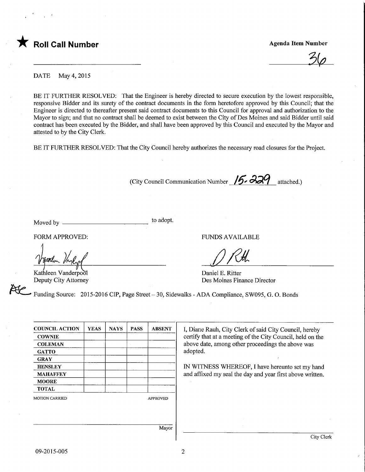

 $36$ 

DATE May 4,2015

BE IT FURTHER RESOLVED: That the Engineer is hereby directed to secure execution by the lowest responsible, responsive Bidder and its surety of the contract documents in the form heretofore approved by this Council; that the Engineer is directed to thereafter present said contract documents to this Council for approval and authorization to the Mayor to sign; and that no contract shall be deemed to exist between the City of Des Moines and said Bidder until said contract has been executed by the Bidder, and shall have been approved by this Council and executed by the Mayor and attested to by the City Clerk.

BE IT FURTHER RESOLVED: That the City Council hereby authorizes the necessary road closures for the Project.

(City Council Communication Number  $15-329$  attached.)

Moved by to adopt.

FORM APPROVED:

Kathleen Vanderpool Deputy City Attorney

FUNDS AVAILABLE

 $N$ M

Daniel E. Ritter Des Moines Finance Director

Funding Source: 2015-2016 CIP, Page Street - 30, Sidewalks - ADA Compliance, SW095, G. O. Bonds

| <b>COUNCIL ACTION</b> | <b>YEAS</b> | <b>NAYS</b> | <b>PASS</b> | <b>ABSENT</b>   |
|-----------------------|-------------|-------------|-------------|-----------------|
| <b>COWNIE</b>         |             |             |             |                 |
| <b>COLEMAN</b>        |             |             |             |                 |
| <b>GATTO</b>          |             |             |             |                 |
| <b>GRAY</b>           |             |             |             |                 |
| <b>HENSLEY</b>        |             |             |             |                 |
| <b>MAHAFFEY</b>       |             |             |             |                 |
| <b>MOORE</b>          |             |             |             |                 |
| <b>TOTAL</b>          |             |             |             |                 |
| <b>MOTION CARRIED</b> |             |             |             | <b>APPROVED</b> |
|                       |             |             |             |                 |
|                       |             |             |             |                 |
|                       |             |             |             |                 |

I, Diane Rauh, City Clerk of said City Council, hereby certify that at a meeting of the City Council, held on the above date, among other proceedings the above was adopted.

IN WITNESS WHEREOF, I have hereunto set my hand and affixed my seal the day and year first above written.